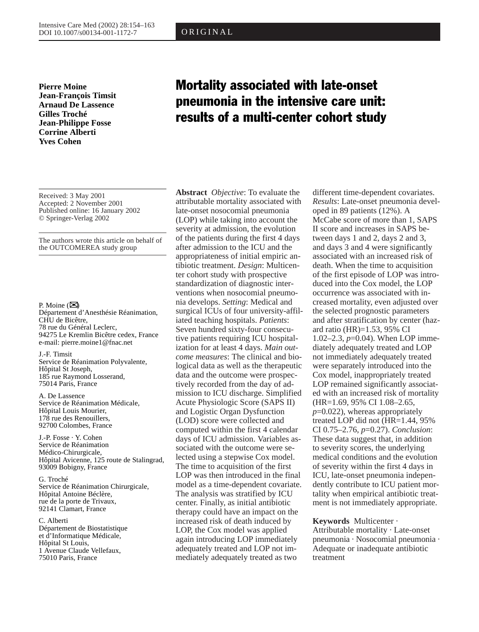ORIGINAL

**Pierre Moine Jean-François Timsit Arnaud De Lassence Gilles Troché Jean-Philippe Fosse Corrine Alberti Yves Cohen**

Received: 3 May 2001 Accepted: 2 November 2001 Published online: 16 January 2002 © Springer-Verlag 2002

The authors wrote this article on behalf of the OUTCOMEREA study group

P. Moine  $(\mathbb{Z})$ Département d'Anesthésie Réanimation, CHU de Bicêtre, 78 rue du Général Leclerc, 94275 Le Kremlin Bicêtre cedex, France e-mail: pierre.moine1@fnac.net

J.-F. Timsit Service de Réanimation Polyvalente, Hôpital St Joseph, 185 rue Raymond Losserand, 75014 Paris, France

A. De Lassence Service de Réanimation Médicale, Hôpital Louis Mourier, 178 rue des Renouillers, 92700 Colombes, France

J.-P. Fosse · Y. Cohen Service de Réanimation Médico-Chirurgicale, Hôpital Avicenne, 125 route de Stalingrad, 93009 Bobigny, France

G. Troché Service de Réanimation Chirurgicale, Hôpital Antoine Béclère, rue de la porte de Trivaux, 92141 Clamart, France

C. Alberti Département de Biostatistique et d'Informatique Médicale, Hôpital St Louis, 1 Avenue Claude Vellefaux, 75010 Paris, France

# Mortality associated with late-onset pneumonia in the intensive care unit: results of a multi-center cohort study

**Abstract** *Objective*: To evaluate the attributable mortality associated with late-onset nosocomial pneumonia (LOP) while taking into account the severity at admission, the evolution of the patients during the first 4 days after admission to the ICU and the appropriateness of initial empiric antibiotic treatment. *Design*: Multicenter cohort study with prospective standardization of diagnostic interventions when nosocomial pneumonia develops. *Setting*: Medical and surgical ICUs of four university-affiliated teaching hospitals. *Patients*: Seven hundred sixty-four consecutive patients requiring ICU hospitalization for at least 4 days. *Main outcome measures*: The clinical and biological data as well as the therapeutic data and the outcome were prospectively recorded from the day of admission to ICU discharge. Simplified Acute Physiologic Score (SAPS II) and Logistic Organ Dysfunction (LOD) score were collected and computed within the first 4 calendar days of ICU admission. Variables associated with the outcome were selected using a stepwise Cox model. The time to acquisition of the first LOP was then introduced in the final model as a time-dependent covariate. The analysis was stratified by ICU center. Finally, as initial antibiotic therapy could have an impact on the increased risk of death induced by LOP, the Cox model was applied again introducing LOP immediately adequately treated and LOP not immediately adequately treated as two

different time-dependent covariates. *Results*: Late-onset pneumonia developed in 89 patients (12%). A McCabe score of more than 1, SAPS II score and increases in SAPS between days 1 and 2, days 2 and 3, and days 3 and 4 were significantly associated with an increased risk of death. When the time to acquisition of the first episode of LOP was introduced into the Cox model, the LOP occurrence was associated with increased mortality, even adjusted over the selected prognostic parameters and after stratification by center (hazard ratio (HR)=1.53, 95% CI 1.02–2.3, *p*=0.04). When LOP immediately adequately treated and LOP not immediately adequately treated were separately introduced into the Cox model, inappropriately treated LOP remained significantly associated with an increased risk of mortality (HR=1.69, 95% CI 1.08–2.65, *p*=0.022), whereas appropriately treated LOP did not (HR=1.44, 95% CI 0.75–2.76, *p*=0.27). *Conclusion*: These data suggest that, in addition to severity scores, the underlying medical conditions and the evolution of severity within the first 4 days in ICU, late-onset pneumonia independently contribute to ICU patient mortality when empirical antibiotic treatment is not immediately appropriate.

## **Keywords** Multicenter ·

Attributable mortality · Late-onset pneumonia · Nosocomial pneumonia · Adequate or inadequate antibiotic treatment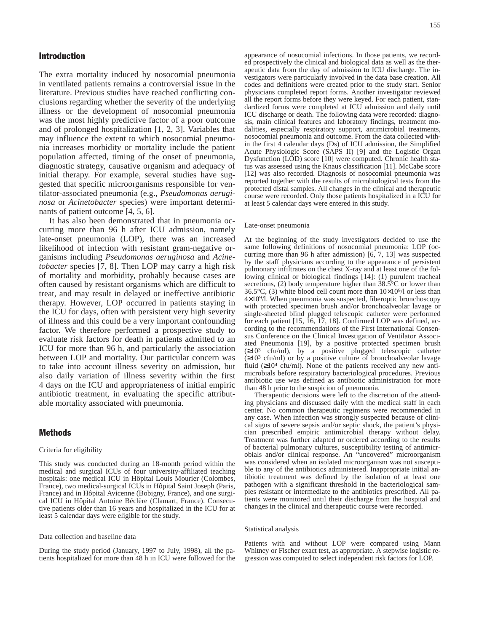# Introduction

The extra mortality induced by nosocomial pneumonia in ventilated patients remains a controversial issue in the literature. Previous studies have reached conflicting conclusions regarding whether the severity of the underlying illness or the development of nosocomial pneumonia was the most highly predictive factor of a poor outcome and of prolonged hospitalization [1, 2, 3]. Variables that may influence the extent to which nosocomial pneumonia increases morbidity or mortality include the patient population affected, timing of the onset of pneumonia, diagnostic strategy, causative organism and adequacy of initial therapy. For example, several studies have suggested that specific microorganisms responsible for ventilator-associated pneumonia (e.g., *Pseudomonas aeruginosa* or *Acinetobacter* species) were important determinants of patient outcome [4, 5, 6].

It has also been demonstrated that in pneumonia occurring more than 96 h after ICU admission, namely late-onset pneumonia (LOP), there was an increased likelihood of infection with resistant gram-negative organisms including *Pseudomonas aeruginosa* and *Acinetobacter* species [7, 8]. Then LOP may carry a high risk of mortality and morbidity, probably because cases are often caused by resistant organisms which are difficult to treat, and may result in delayed or ineffective antibiotic therapy. However, LOP occurred in patients staying in the ICU for days, often with persistent very high severity of illness and this could be a very important confounding factor. We therefore performed a prospective study to evaluate risk factors for death in patients admitted to an ICU for more than 96 h, and particularly the association between LOP and mortality. Our particular concern was to take into account illness severity on admission, but also daily variation of illness severity within the first 4 days on the ICU and appropriateness of initial empiric antibiotic treatment, in evaluating the specific attributable mortality associated with pneumonia.

# Methods

#### Criteria for eligibility

This study was conducted during an 18-month period within the medical and surgical ICUs of four university-affiliated teaching hospitals: one medical ICU in Hôpital Louis Mourier (Colombes, France), two medical-surgical ICUs in Hôpital Saint Joseph (Paris, France) and in Hôpital Avicenne (Bobigny, France), and one surgical ICU in Hôpital Antoine Béclère (Clamart, France). Consecutive patients older than 16 years and hospitalized in the ICU for at least 5 calendar days were eligible for the study.

#### Data collection and baseline data

During the study period (January, 1997 to July, 1998), all the patients hospitalized for more than 48 h in ICU were followed for the

appearance of nosocomial infections. In those patients, we recorded prospectively the clinical and biological data as well as the therapeutic data from the day of admission to ICU discharge. The investigators were particularly involved in the data base creation. All codes and definitions were created prior to the study start. Senior physicians completed report forms. Another investigator reviewed all the report forms before they were keyed. For each patient, standardized forms were completed at ICU admission and daily until ICU discharge or death. The following data were recorded: diagnosis, main clinical features and laboratory findings, treatment modalities, especially respiratory support, antimicrobial treatments, nosocomial pneumonia and outcome. From the data collected within the first  $\overline{4}$  calendar days (Ds) of ICU admission, the Simplified Acute Physiologic Score (SAPS II) [9] and the Logistic Organ Dysfunction (LOD) score [10] were computed. Chronic health status was assessed using the Knaus classification [11]. McCabe score [12] was also recorded. Diagnosis of nosocomial pneumonia was reported together with the results of microbiological tests from the protected distal samples. All changes in the clinical and therapeutic course were recorded. Only those patients hospitalized in a ICU for at least 5 calendar days were entered in this study.

#### Late-onset pneumonia

At the beginning of the study investigators decided to use the same following definitions of nosocomial pneumonia: LOP (occurring more than 96 h after admission) [6, 7, 13] was suspected by the staff physicians according to the appearance of persistent pulmonary infiltrates on the chest X-ray and at least one of the following clinical or biological findings [14]: (1) purulent tracheal secretions, (2) body temperature higher than  $38.5^{\circ}$ C or lower than 36.5 $\degree$ C, (3) white blood cell count more than  $10\times10\frac{9}{1}$  or less than  $4\times10<sup>9</sup>/l$ . When pneumonia was suspected, fiberoptic bronchoscopy with protected specimen brush and/or bronchoalveolar lavage or single-sheeted blind plugged telescopic catheter were performed for each patient [15, 16, 17, 18]. Confirmed LOP was defined, according to the recommendations of the First International Consensus Conference on the Clinical Investigation of Ventilator Associated Pneumonia [19], by a positive protected specimen brush  $(\geq 10^3 \text{ cfu/ml})$ , by a positive plugged telescopic catheter (≥103 cfu/ml) or by a positive culture of bronchoalveolar lavage fluid  $(\geq 10^4 \text{ cfu/ml})$ . None of the patients received any new antimicrobials before respiratory bacteriological procedures. Previous antibiotic use was defined as antibiotic administration for more than 48 h prior to the suspicion of pneumonia.

Therapeutic decisions were left to the discretion of the attending physicians and discussed daily with the medical staff in each center. No common therapeutic regimens were recommended in any case. When infection was strongly suspected because of clinical signs of severe sepsis and/or septic shock, the patient's physician prescribed empiric antimicrobial therapy without delay. Treatment was further adapted or ordered according to the results of bacterial pulmonary cultures, susceptibility testing of antimicrobials and/or clinical response. An "uncovered" microorganism was considered when an isolated microorganism was not susceptible to any of the antibiotics administered. Inappropriate initial antibiotic treatment was defined by the isolation of at least one pathogen with a significant threshold in the bacteriological samples resistant or intermediate to the antibiotics prescribed. All patients were monitored until their discharge from the hospital and changes in the clinical and therapeutic course were recorded.

#### Statistical analysis

Patients with and without LOP were compared using Mann Whitney or Fischer exact test, as appropriate. A stepwise logistic regression was computed to select independent risk factors for LOP.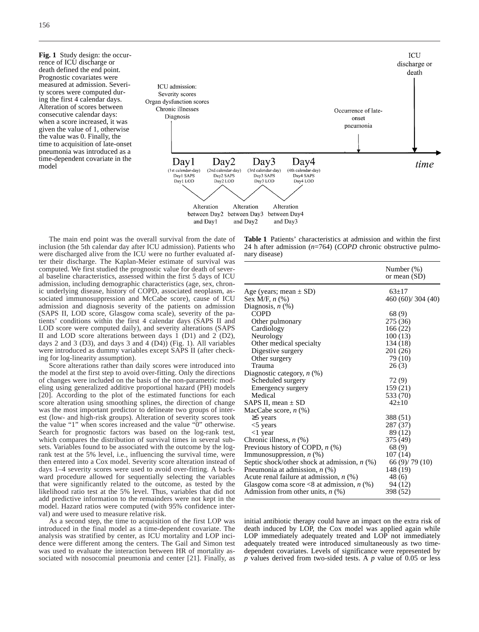**Fig. 1** Study design: the occurrence of ICU discharge or death defined the end point. Prognostic covariates were measured at admission. Severity scores were computed during the first 4 calendar days. Alteration of scores between consecutive calendar days: when a score increased, it was given the value of 1, otherwise the value was 0. Finally, the time to acquisition of late-onset pneumonia was introduced as a time-dependent covariate in the model



The main end point was the overall survival from the date of inclusion (the 5th calendar day after ICU admission). Patients who were discharged alive from the ICU were no further evaluated after their discharge. The Kaplan-Meier estimate of survival was computed. We first studied the prognostic value for death of several baseline characteristics, assessed within the first 5 days of ICU admission, including demographic characteristics (age, sex, chronic underlying disease, history of COPD, associated neoplasm, associated immunosuppression and McCabe score), cause of ICU admission and diagnosis severity of the patients on admission (SAPS II, LOD score, Glasgow coma scale), severity of the patients' conditions within the first 4 calendar days (SAPS II and LOD score were computed daily), and severity alterations (SAPS II and LOD score alterations between days 1 (D1) and 2 (D2), days 2 and 3 (D3), and days 3 and 4 (D4)) (Fig. 1). All variables were introduced as dummy variables except SAPS II (after checking for log-linearity assumption).

Score alterations rather than daily scores were introduced into the model at the first step to avoid over-fitting. Only the directions of changes were included on the basis of the non-parametric modeling using generalized additive proportional hazard (PH) models [20]. According to the plot of the estimated functions for each score alteration using smoothing splines, the direction of change was the most important predictor to delineate two groups of interest (low- and high-risk groups). Alteration of severity scores took the value "1" when scores increased and the value "0" otherwise. Search for prognostic factors was based on the log-rank test, which compares the distribution of survival times in several subsets. Variables found to be associated with the outcome by the logrank test at the 5% level, i.e., influencing the survival time, were then entered into a Cox model. Severity score alteration instead of days 1–4 severity scores were used to avoid over-fitting. A backward procedure allowed for sequentially selecting the variables that were significantly related to the outcome, as tested by the likelihood ratio test at the 5% level. Thus, variables that did not add predictive information to the remainders were not kept in the model. Hazard ratios were computed (with 95% confidence interval) and were used to measure relative risk.

As a second step, the time to acquisition of the first LOP was introduced in the final model as a time-dependent covariate. The analysis was stratified by center, as ICU mortality and LOP incidence were different among the centers. The Gail and Simon test was used to evaluate the interaction between HR of mortality associated with nosocomial pneumonia and center [21]. Finally, as

**Table 1** Patients' characteristics at admission and within the first 24 h after admission (*n*=764) (*COPD* chronic obstructive pulmonary disease)

|                                                | Number $(\%)$<br>or mean (SD) |
|------------------------------------------------|-------------------------------|
| Age (years; mean $\pm$ SD)                     | $63+17$                       |
| Sex M/F, $n$ $%$                               | 460 (60)/ 304 (40)            |
| Diagnosis, $n$ $(\%)$                          |                               |
| COPD                                           | 68 (9)                        |
| Other pulmonary                                | 275 (36)                      |
| Cardiology                                     | 166(22)                       |
| Neurology                                      | 100(13)                       |
| Other medical specialty                        | 134 (18)                      |
| Digestive surgery                              | 201 (26)                      |
| Other surgery                                  | 79 (10)                       |
| Trauma                                         | 26(3)                         |
| Diagnostic category, $n$ (%)                   |                               |
| Scheduled surgery                              | 72(9)                         |
| Emergency surgery                              | 159(21)                       |
| Medical                                        | 533 (70)                      |
| SAPS II, mean $\pm$ SD                         | $42+10$                       |
| MacCabe score, $n$ $(\%)$                      |                               |
| $\geq$ years                                   | 388 (51)                      |
| $<$ 5 years                                    | 287 (37)                      |
| $<$ 1 year                                     | 89 (12)                       |
| Chronic illness, $n$ $(\%)$                    | 375 (49)                      |
| Previous history of COPD, $n$ (%)              | 68(9)                         |
| Immunosuppression, n (%)                       | 107(14)                       |
| Septic shock/other shock at admission, $n$ (%) | 66 (9)/ 79 (10)               |
| Pneumonia at admission, $n$ (%)                | 148 (19)                      |
| Acute renal failure at admission, $n$ (%)      | 48 (6)                        |
| Glasgow coma score <8 at admission, $n$ (%)    | 94 (12)                       |
| Admission from other units, $n$ (%)            | 398 (52)                      |

initial antibiotic therapy could have an impact on the extra risk of death induced by LOP, the Cox model was applied again while LOP immediately adequately treated and LOP not immediately adequately treated were introduced simultaneously as two timedependent covariates. Levels of significance were represented by *p* values derived from two-sided tests. A *p* value of 0.05 or less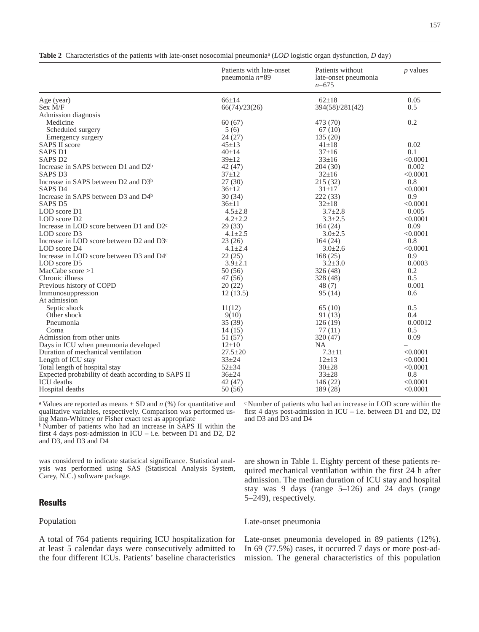|                                                      | Patients with late-onset<br>pneumonia $n=89$ | Patients without<br>late-onset pneumonia<br>$n = 675$ | $p$ values |  |
|------------------------------------------------------|----------------------------------------------|-------------------------------------------------------|------------|--|
| Age (year)                                           | $66+14$                                      | $62+18$                                               | 0.05       |  |
| Sex M/F                                              | 66(74)/23(26)                                | 394(58)/281(42)                                       | 0.5        |  |
| Admission diagnosis                                  |                                              |                                                       |            |  |
| Medicine                                             | 60(67)                                       | 473 (70)                                              | 0.2        |  |
| Scheduled surgery                                    | 5(6)                                         | 67(10)                                                |            |  |
| Emergency surgery                                    | 24(27)                                       | 135(20)                                               |            |  |
| <b>SAPS II score</b>                                 | $45 + 13$                                    | $41 \pm 18$                                           | 0.02       |  |
| <b>SAPS D1</b>                                       | $40+14$                                      | $37 \pm 16$                                           | 0.1        |  |
| SAPS <sub>D2</sub>                                   | $39 + 12$                                    | $33 \pm 16$                                           | < 0.0001   |  |
| Increase in SAPS between D1 and D2 <sup>b</sup>      | 42 (47)                                      | 204(30)                                               | 0.002      |  |
| SAPS <sub>D3</sub>                                   | $37+12$                                      | $32 \pm 16$                                           | < 0.0001   |  |
| Increase in SAPS between D2 and D3 <sup>b</sup>      | 27(30)                                       | 215(32)                                               | 0.8        |  |
| SAPS <sub>D4</sub>                                   | $36 \pm 12$                                  | $31 \pm 17$                                           | < 0.0001   |  |
| Increase in SAPS between D3 and D4b                  | 30(34)                                       | 222(33)                                               | 0.9        |  |
| SAPS <sub>D5</sub>                                   | $36 \pm 11$                                  | $32 \pm 18$                                           | < 0.0001   |  |
| LOD score D1                                         | $4.5 \pm 2.8$                                | $3.7 \pm 2.8$                                         | 0.005      |  |
| LOD score D <sub>2</sub>                             | $4.2 \pm 2.2$                                | $3.3 \pm 2.5$                                         | < 0.0001   |  |
| Increase in LOD score between D1 and D2 <sup>c</sup> | 29(33)                                       | 164(24)                                               | 0.09       |  |
| LOD score D3                                         | $4.1 \pm 2.5$                                | $3.0 \pm 2.5$                                         | < 0.0001   |  |
| Increase in LOD score between D2 and D3 <sup>c</sup> | 23(26)                                       | 164(24)                                               | 0.8        |  |
| LOD score D4                                         | $4.1 \pm 2.4$                                | $3.0 \pm 2.6$                                         | < 0.0001   |  |
| Increase in LOD score between D3 and D4 <sup>c</sup> | 22(25)                                       | 168(25)                                               | 0.9        |  |
| LOD score D5                                         | $3.9 \pm 2.1$                                | $3.2 \pm 3.0$                                         | 0.0003     |  |
| MacCabe score $>1$                                   | 50(56)                                       | 326(48)                                               | 0.2        |  |
| Chronic illness                                      | 47 (56)                                      | 328 (48)                                              | 0.5        |  |
| Previous history of COPD                             | 20(22)                                       | 48(7)                                                 | 0.001      |  |
| Immunosuppression                                    | 12(13.5)                                     | 95(14)                                                | 0.6        |  |
| At admission                                         |                                              |                                                       |            |  |
| Septic shock                                         | 11(12)                                       | 65(10)                                                | 0.5        |  |
| Other shock                                          | 9(10)                                        | 91 (13)                                               | 0.4        |  |
| Pneumonia                                            | 35(39)                                       | 126(19)                                               | 0.00012    |  |
| Coma                                                 | 14(15)                                       | 77(11)                                                | 0.5        |  |
| Admission from other units                           | 51 (57)                                      | 320(47)                                               | 0.09       |  |
| Days in ICU when pneumonia developed                 | $12\pm 10$                                   | <b>NA</b>                                             |            |  |
| Duration of mechanical ventilation                   | $27.5 \pm 20$                                | $7.3 \pm 11$                                          | < 0.0001   |  |
| Length of ICU stay                                   | $33 + 24$                                    | $12 \pm 13$                                           | < 0.0001   |  |
| Total length of hospital stay                        | $52 + 34$                                    | $30+28$                                               | < 0.0001   |  |
| Expected probability of death according to SAPS II   | $36 + 24$                                    | $33 + 28$                                             | 0.8        |  |
| <b>ICU</b> deaths                                    | 42 (47)                                      | 146(22)                                               | < 0.0001   |  |
| Hospital deaths                                      | 50(56)                                       | 189 (28)                                              | < 0.0001   |  |

**Table 2** Characteristics of the patients with late-onset nosocomial pneumoniaa (*LOD* logistic organ dysfunction, *D* day)

<sup>a</sup> Values are reported as means  $\pm$  SD and *n* (%) for quantitative and qualitative variables, respectively. Comparison was performed using Mann-Whitney or Fisher exact test as appropriate

<sup>b</sup> Number of patients who had an increase in SAPS II within the first 4 days post-admission in ICU – i.e. between D1 and D2, D2 and D3, and D3 and D4

was considered to indicate statistical significance. Statistical analysis was performed using SAS (Statistical Analysis System, Carey, N.C.) software package.

# **Results**

# Population

A total of 764 patients requiring ICU hospitalization for at least 5 calendar days were consecutively admitted to the four different ICUs. Patients' baseline characteristics <sup>c</sup> Number of patients who had an increase in LOD score within the first 4 days post-admission in ICU – i.e. between D1 and D2, D2 and D3 and D3 and D4

are shown in Table 1. Eighty percent of these patients required mechanical ventilation within the first 24 h after admission. The median duration of ICU stay and hospital stay was 9 days (range 5–126) and 24 days (range 5–249), respectively.

#### Late-onset pneumonia

Late-onset pneumonia developed in 89 patients (12%). In 69 (77.5%) cases, it occurred 7 days or more post-admission. The general characteristics of this population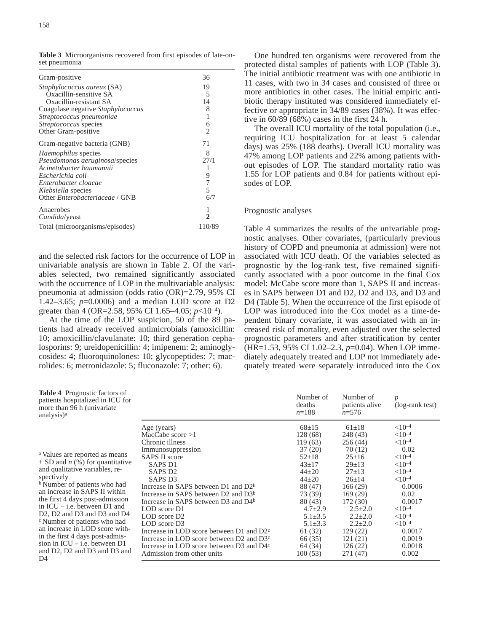| Gram-positive                            | 36                       |
|------------------------------------------|--------------------------|
| <i>Staphylococcus aureus</i> (SA)        | 19                       |
| Oxacillin-sensitive SA                   | 5                        |
| Oxacillin-resistant SA                   | 14                       |
| Coagulase negative <i>Staphylococcus</i> | 8                        |
| Streptococcus pneumoniae                 |                          |
| Streptococcus species                    | 6                        |
| Other Gram-positive                      | 2                        |
| Gram-negative bacteria (GNB)             | 71                       |
| <i>Haemophilus</i> species               | 8                        |
| Pseudomonas aeruginosa/species           | 27/1                     |
| Acinetobacter baumannii                  |                          |
| Escherichia coli                         | 9                        |
| Enterobacter cloacae                     | 7                        |
| Klebsiella species                       | $\overline{\phantom{0}}$ |
| Other Enterobacteriaceae / GNB           | 6/7                      |
| Anaerobes                                |                          |
| <i>Candida</i> /yeast                    | 2                        |
| Total (microorganisms/episodes)          | 110/89                   |

and the selected risk factors for the occurrence of LOP in univariable analysis are shown in Table 2. Of the variables selected, two remained significantly associated with the occurrence of LOP in the multivariable analysis: pneumonia at admission (odds ratio (OR)=2.79, 95% CI 1.42–3.65; *p*=0.0006) and a median LOD score at D2 greater than 4 (OR=2.58, 95% CI 1.65–4.05; *p*<10–4).

At the time of the LOP suspicion, 50 of the 89 patients had already received antimicrobials (amoxicillin: 10; amoxicillin/clavulanate: 10; third generation cephalosporins: 9; ureidopenicillin: 4; imipenem: 2; aminoglycosides: 4; fluoroquinolones: 10; glycopeptides: 7; macrolides: 6; metronidazole: 5; fluconazole: 7; other: 6).

One hundred ten organisms were recovered from the protected distal samples of patients with LOP (Table 3). The initial antibiotic treatment was with one antibiotic in 11 cases, with two in 34 cases and consisted of three or more antibiotics in other cases. The initial empiric antibiotic therapy instituted was considered immediately effective or appropriate in 34/89 cases (38%). It was effective in 60/89 (68%) cases in the first 24 h.

The overall ICU mortality of the total population (i.e., requiring ICU hospitalization for at least 5 calendar days) was 25% (188 deaths). Overall ICU mortality was 47% among LOP patients and 22% among patients without episodes of LOP. The standard mortality ratio was 1.55 for LOP patients and 0.84 for patients without episodes of LOP.

### Prognostic analyses

Table 4 summarizes the results of the univariable prognostic analyses. Other covariates, (particularly previous history of COPD and pneumonia at admission) were not associated with ICU death. Of the variables selected as prognostic by the log-rank test, five remained significantly associated with a poor outcome in the final Cox model: McCabe score more than 1, SAPS II and increases in SAPS between D1 and D2, D2 and D3, and D3 and D4 (Table 5). When the occurrence of the first episode of LOP was introduced into the Cox model as a time-dependent binary covariate, it was associated with an increased risk of mortality, even adjusted over the selected prognostic parameters and after stratification by center (HR=1.53, 95% CI 1.02–2.3, *p*=0.04). When LOP immediately adequately treated and LOP not immediately adequately treated were separately introduced into the Cox

| Table 4 Prognostic factors of<br>patients hospitalized in ICU for<br>more than 96 h (univariate)<br>analysis) <sup>a</sup>                                                                                                                                                      |                                                                                                              | Number of<br>deaths<br>$n = 188$ | Number of<br>patients alive<br>$n = 576$ | p<br>(log-rank test)                 |
|---------------------------------------------------------------------------------------------------------------------------------------------------------------------------------------------------------------------------------------------------------------------------------|--------------------------------------------------------------------------------------------------------------|----------------------------------|------------------------------------------|--------------------------------------|
|                                                                                                                                                                                                                                                                                 | Age (years)<br>MacCabe score $>1$                                                                            | $68 \pm 15$<br>128 (68)          | $61 \pm 18$<br>248 (43)                  | ${<}10^{-4}$<br>${<}10^{-4}$         |
|                                                                                                                                                                                                                                                                                 | Chronic illness<br>Immunosuppression                                                                         | 119(63)<br>37(20)                | 256(44)<br>70 (12)                       | ${<}10^{-4}$<br>0.02                 |
| <sup>a</sup> Values are reported as means<br>$\pm$ SD and <i>n</i> (%) for quantitative                                                                                                                                                                                         | <b>SAPS II score</b><br><b>SAPS D1</b>                                                                       | $52 \pm 18$<br>$43+17$           | $25 \pm 16$<br>$29 \pm 13$               | ${<}10^{-4}$<br>$< 10^{-4}$          |
| and qualitative variables, re-<br>spectively<br><sup>b</sup> Number of patients who had<br>an increase in SAPS II within                                                                                                                                                        | SAPS D <sub>2</sub><br>SAPS D <sub>3</sub>                                                                   | $44 \pm 20$<br>$44 + 20$         | $27 \pm 13$<br>$26 \pm 14$               | ${<}10^{-4}$<br>${<}10^{-4}$         |
|                                                                                                                                                                                                                                                                                 | Increase in SAPS between D1 and D2 <sup>b</sup><br>Increase in SAPS between D2 and D3 <sup>b</sup>           | 88 (47)<br>73 (39)               | 166 (29)<br>169 (29)                     | 0.0006<br>0.02                       |
| the first 4 days post-admission<br>in ICU – i.e. between D1 and                                                                                                                                                                                                                 | Increase in SAPS between D3 and D4 <sup>b</sup><br>LOD score D1                                              | 80 (43)<br>$4.7 \pm 2.9$         | 172(30)<br>$2.5 \pm 2.0$                 | 0.0017<br>${<}10^{-4}$               |
| D <sub>2</sub> , D <sub>2</sub> and D <sub>3</sub> and D <sub>3</sub> and D <sub>4</sub><br><sup>c</sup> Number of patients who had<br>an increase in LOD score with-<br>in the first 4 days post-admis-<br>sion in ICU – i.e. between D1<br>and D2, D2 and D3 and D3 and<br>D4 | LOD score D <sub>2</sub><br>LOD score D3                                                                     | $5.1 \pm 3.5$<br>$5.1 \pm 3.3$   | $2.2 \pm 2.0$<br>$2.2 \pm 2.0$           | ${<}10^{-4}$<br>$<$ 10 <sup>-4</sup> |
|                                                                                                                                                                                                                                                                                 | Increase in LOD score between D1 and D2 <sup>c</sup><br>Increase in LOD score between D2 and D3 <sup>c</sup> | 61 (32)<br>66 (35)               | 129(22)<br>121(21)                       | 0.0017<br>0.0019                     |
|                                                                                                                                                                                                                                                                                 | Increase in LOD score between D3 and D4 <sup>c</sup><br>Admission from other units                           | 64 (34)<br>100(53)               | 126(22)<br>271 (47)                      | 0.0018<br>0.002                      |
|                                                                                                                                                                                                                                                                                 |                                                                                                              |                                  |                                          |                                      |

158

an

 $\sup_{b}$ 

 $D<sub>0</sub>$ 

**Table 3** Microorganisms recovered from first episodes of late-onset pneumonia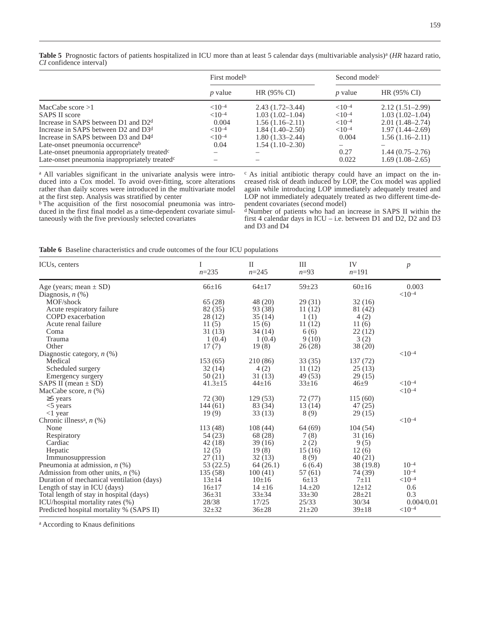|                                |  | <b>Table 5</b> Prognostic factors of patients hospitalized in ICU more than at least 5 calendar days (multivariable analysis) <sup>a</sup> (HR hazard ratio, |  |  |  |  |  |  |
|--------------------------------|--|--------------------------------------------------------------------------------------------------------------------------------------------------------------|--|--|--|--|--|--|
| <i>CI</i> confidence interval) |  |                                                                                                                                                              |  |  |  |  |  |  |

|                                                           | First model <sup>b</sup> |                     | Second model <sup>c</sup> |                     |  |  |
|-----------------------------------------------------------|--------------------------|---------------------|---------------------------|---------------------|--|--|
|                                                           | <i>p</i> value           | HR (95% CI)         | $p$ value                 | HR (95% CI)         |  |  |
| MacCabe score $>1$                                        | $< 10^{-4}$              | $2.43(1.72 - 3.44)$ | ${<}10^{-4}$              | $2.12(1.51-2.99)$   |  |  |
| SAPS II score                                             | $< 10^{-4}$              | $1.03(1.02 - 1.04)$ | ${<}10^{-4}$              | $1.03(1.02 - 1.04)$ |  |  |
| Increase in SAPS between D1 and D2 <sup>d</sup>           | 0.004                    | $1.56(1.16-2.11)$   | ${<}10^{-4}$              | $2.01(1.48-2.74)$   |  |  |
| Increase in SAPS between D2 and D3 <sup>d</sup>           | $< 10^{-4}$              | 1.84 (1.40–2.50)    | ${<}10^{-4}$              | $1.97(1.44 - 2.69)$ |  |  |
| Increase in SAPS between D3 and D4 <sup>d</sup>           | $< 10^{-4}$              | $1.80(1.33 - 2.44)$ | 0.004                     | $1.56(1.16-2.11)$   |  |  |
| Late-onset pneumonia occurrence <sup>b</sup>              | 0.04                     | $1.54(1.10-2.30)$   |                           |                     |  |  |
| Late-onset pneumonia appropriately treated <sup>c</sup>   |                          |                     | 0.27                      | $1.44(0.75-2.76)$   |  |  |
| Late-onset pneumonia inappropriately treated <sup>c</sup> |                          |                     | 0.022                     | $1.69(1.08-2.65)$   |  |  |

<sup>a</sup> All variables significant in the univariate analysis were introduced into a Cox model. To avoid over-fitting, score alterations rather than daily scores were introduced in the multivariate model at the first step. Analysis was stratified by center

<sup>b</sup> The acquisition of the first nosocomial pneumonia was introduced in the first final model as a time-dependent covariate simultaneously with the five previously selected covariates

<sup>c</sup> As initial antibiotic therapy could have an impact on the increased risk of death induced by LOP, the Cox model was applied again while introducing LOP immediately adequately treated and LOP not immediately adequately treated as two different time-dependent covariates (second model)

<sup>d</sup> Number of patients who had an increase in SAPS II within the first 4 calendar days in ICU – i.e. between D1 and D2, D2 and D3 and D3 and D4

**Table 6** Baseline characteristics and crude outcomes of the four ICU populations

| ICU <sub>s</sub> , centers                | I<br>$n = 235$ | $\mathbf{I}$<br>$n = 245$ | III<br>$n=93$ | IV<br>$n=191$ | $\boldsymbol{p}$ |
|-------------------------------------------|----------------|---------------------------|---------------|---------------|------------------|
| Age (years; mean $\pm$ SD)                | $66 \pm 16$    | $64+17$                   | $59 + 23$     | $60+16$       | 0.003            |
| Diagnosis, $n$ $(\%)$                     |                |                           |               |               | $< 10^{-4}$      |
| MOF/shock                                 | 65(28)         | 48 (20)                   | 29(31)        | 32(16)        |                  |
| Acute respiratory failure                 | 82 (35)        | 93 (38)                   | 11(12)        | 81 (42)       |                  |
| COPD exacerbation                         | 28 (12)        | 35(14)                    | 1(1)          | 4(2)          |                  |
| Acute renal failure                       | 11(5)          | 15(6)                     | 11(12)        | 11(6)         |                  |
| Coma                                      | 31(13)         | 34(14)                    | 6(6)          | 22(12)        |                  |
| Trauma                                    | 1(0.4)         | 1(0.4)                    | 9(10)         | 3(2)          |                  |
| Other                                     | 17(7)          | 19(8)                     | 26(28)        | 38(20)        |                  |
| Diagnostic category, $n$ (%)              |                |                           |               |               | $< 10^{-4}$      |
| Medical                                   | 153(65)        | 210 (86)                  | 33(35)        | 137(72)       |                  |
| Scheduled surgery                         | 32(14)         | 4(2)                      | 11(12)        | 25(13)        |                  |
| Emergency surgery                         | 50(21)         | 31 (13)                   | 49 (53)       | 29(15)        |                  |
| SAPS II (mean $\pm$ SD)                   | $41.3 \pm 15$  | $44 \pm 16$               | $33 \pm 16$   | $46\pm9$      | ${<}10^{-4}$     |
| MacCabe score, $n$ (%)                    |                |                           |               |               | $< 10^{-4}$      |
| $\geq$ years                              | 72 (30)        | 129(53)                   | 72(77)        | 115(60)       |                  |
| $<$ 5 years                               | 144(61)        | 83 (34)                   | 13(14)        | 47 (25)       |                  |
| $\langle$ 1 year                          | 19(9)          | 33(13)                    | 8(9)          | 29(15)        |                  |
| Chronic illness <sup>a</sup> , n (%)      |                |                           |               |               | $< 10^{-4}$      |
| None                                      | 113 (48)       | 108(44)                   | 64(69)        | 104(54)       |                  |
| Respiratory                               | 54 (23)        | 68 (28)                   | 7(8)          | 31(16)        |                  |
| Cardiac                                   | 42(18)         | 39(16)                    | 2(2)          | 9(5)          |                  |
| Hepatic                                   | 12(5)          | 19(8)                     | 15(16)        | 12(6)         |                  |
| Immunosuppression                         | 27(11)         | 32(13)                    | 8(9)          | 40(21)        |                  |
| Pneumonia at admission, $n$ (%)           | 53(22.5)       | 64(26.1)                  | 6(6.4)        | 38 (19.8)     | $10^{-4}$        |
| Admission from other units, $n$ (%)       | 135 (58)       | 100(41)                   | 57(61)        | 74 (39)       | $10^{-4}$        |
| Duration of mechanical ventilation (days) | $13 \pm 14$    | $10+16$                   | $6 + 13$      | $7 + 11$      | $< 10^{-4}$      |
| Length of stay in ICU (days)              | $16 \pm 17$    | $14 \pm 16$               | 14.120        | $12 \pm 12$   | 0.6              |
| Total length of stay in hospital (days)   | $36 \pm 31$    | $33 \pm 34$               | $33 + 30$     | $28 + 21$     | 0.3              |
| ICU/hospital mortality rates (%)          | 28/38          | 17/25                     | 25/33         | 30/34         | 0.004/0.01       |
| Predicted hospital mortality % (SAPS II)  | $32+32$        | $36 \pm 28$               | $21 \pm 20$   | $39 \pm 18$   | ${<}10^{-4}$     |

<sup>a</sup> According to Knaus definitions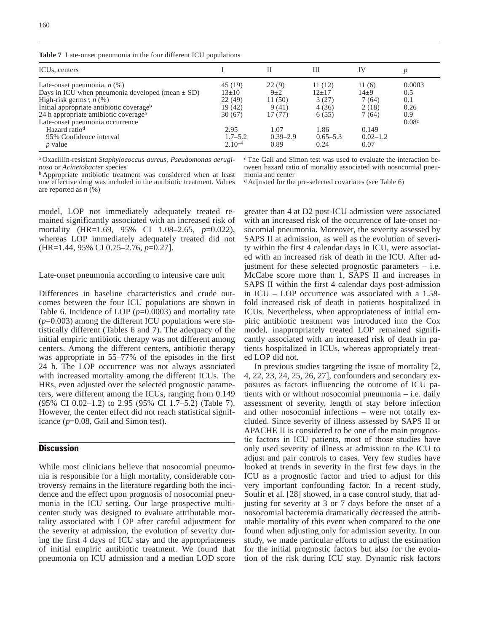**Table 7** Late-onset pneumonia in the four different ICU populations

| ICU <sub>s</sub> , centers                                                                                                                                                                                                                                                                                                        |                                                                                             | Н                                                                             | Ш                                                                            | IV                                                                            |                                                          |
|-----------------------------------------------------------------------------------------------------------------------------------------------------------------------------------------------------------------------------------------------------------------------------------------------------------------------------------|---------------------------------------------------------------------------------------------|-------------------------------------------------------------------------------|------------------------------------------------------------------------------|-------------------------------------------------------------------------------|----------------------------------------------------------|
| Late-onset pneumonia, $n$ (%)<br>Days in ICU when pneumonia developed (mean $\pm$ SD)<br>High-risk germs <sup>a</sup> , $n$ (%)<br>Initial appropriate antibiotic coverageb<br>24 h appropriate antibiotic coverageb<br>Late-onset pneumonia occurrence<br>Hazard ratio <sup>d</sup><br>95% Confidence interval<br><i>p</i> value | 45 (19)<br>$13 \pm 10$<br>22(49)<br>19 (42)<br>30(67)<br>2.95<br>$1.7 - 5.2$<br>$2.10^{-4}$ | 22(9)<br>$9 + 2$<br>11(50)<br>9(41)<br>17(77)<br>1.07<br>$0.39 - 2.9$<br>0.89 | 11(12)<br>$12+17$<br>3(27)<br>4(36)<br>6(55)<br>1.86<br>$0.65 - 5.3$<br>0.24 | 11(6)<br>$14\pm9$<br>7(64)<br>2(18)<br>7(64)<br>0.149<br>$0.02 - 1.2$<br>0.07 | 0.0003<br>0.5<br>0.1<br>0.26<br>0.9<br>0.08 <sup>c</sup> |

<sup>a</sup> Oxacillin-resistant *Staphylococcus aureus*, *Pseudomonas aeruginosa* or *Acinetobacter* species

<sup>b</sup> Appropriate antibiotic treatment was considered when at least one effective drug was included in the antibiotic treatment. Values are reported as *n* (%)

model, LOP not immediately adequately treated remained significantly associated with an increased risk of mortality (HR=1.69, 95% CI 1.08–2.65, *p*=0.022), whereas LOP immediately adequately treated did not (HR=1.44, 95% CI 0.75–2.76, *p*=0.27].

Late-onset pneumonia according to intensive care unit

Differences in baseline characteristics and crude outcomes between the four ICU populations are shown in Table 6. Incidence of LOP (*p*=0.0003) and mortality rate (*p*=0.003) among the different ICU populations were statistically different (Tables 6 and 7). The adequacy of the initial empiric antibiotic therapy was not different among centers. Among the different centers, antibiotic therapy was appropriate in 55–77% of the episodes in the first 24 h. The LOP occurrence was not always associated with increased mortality among the different ICUs. The HRs, even adjusted over the selected prognostic parameters, were different among the ICUs, ranging from 0.149 (95% CI 0.02–1.2) to 2.95 (95% CI 1.7–5.2) (Table 7). However, the center effect did not reach statistical significance (*p*=0.08, Gail and Simon test).

# **Discussion**

While most clinicians believe that nosocomial pneumonia is responsible for a high mortality, considerable controversy remains in the literature regarding both the incidence and the effect upon prognosis of nosocomial pneumonia in the ICU setting. Our large prospective multicenter study was designed to evaluate attributable mortality associated with LOP after careful adjustment for the severity at admission, the evolution of severity during the first 4 days of ICU stay and the appropriateness of initial empiric antibiotic treatment. We found that pneumonia on ICU admission and a median LOD score <sup>c</sup> The Gail and Simon test was used to evaluate the interaction between hazard ratio of mortality associated with nosocomial pneumonia and center

<sup>d</sup> Adjusted for the pre-selected covariates (see Table 6)

greater than 4 at D2 post-ICU admission were associated with an increased risk of the occurrence of late-onset nosocomial pneumonia. Moreover, the severity assessed by SAPS II at admission, as well as the evolution of severity within the first 4 calendar days in ICU, were associated with an increased risk of death in the ICU. After adjustment for these selected prognostic parameters  $-$  i.e. McCabe score more than 1, SAPS II and increases in SAPS II within the first 4 calendar days post-admission in ICU – LOP occurrence was associated with a 1.58 fold increased risk of death in patients hospitalized in ICUs. Nevertheless, when appropriateness of initial empiric antibiotic treatment was introduced into the Cox model, inappropriately treated LOP remained significantly associated with an increased risk of death in patients hospitalized in ICUs, whereas appropriately treated LOP did not.

In previous studies targeting the issue of mortality [2, 4, 22, 23, 24, 25, 26, 27], confounders and secondary exposures as factors influencing the outcome of ICU patients with or without nosocomial pneumonia – i.e. daily assessment of severity, length of stay before infection and other nosocomial infections – were not totally excluded. Since severity of illness assessed by SAPS II or APACHE II is considered to be one of the main prognostic factors in ICU patients, most of those studies have only used severity of illness at admission to the ICU to adjust and pair controls to cases. Very few studies have looked at trends in severity in the first few days in the ICU as a prognostic factor and tried to adjust for this very important confounding factor. In a recent study, Soufir et al. [28] showed, in a case control study, that adjusting for severity at 3 or 7 days before the onset of a nosocomial bacteremia dramatically decreased the attributable mortality of this event when compared to the one found when adjusting only for admission severity. In our study, we made particular efforts to adjust the estimation for the initial prognostic factors but also for the evolution of the risk during ICU stay. Dynamic risk factors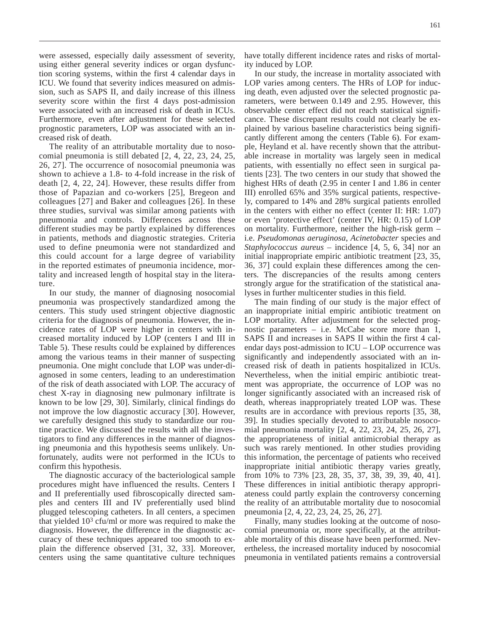were assessed, especially daily assessment of severity, using either general severity indices or organ dysfunction scoring systems, within the first 4 calendar days in ICU. We found that severity indices measured on admission, such as SAPS II, and daily increase of this illness severity score within the first 4 days post-admission were associated with an increased risk of death in ICUs. Furthermore, even after adjustment for these selected prognostic parameters, LOP was associated with an increased risk of death.

The reality of an attributable mortality due to nosocomial pneumonia is still debated [2, 4, 22, 23, 24, 25, 26, 27]. The occurrence of nosocomial pneumonia was shown to achieve a 1.8- to 4-fold increase in the risk of death [2, 4, 22, 24]. However, these results differ from those of Papazian and co-workers [25], Bregeon and colleagues [27] and Baker and colleagues [26]. In these three studies, survival was similar among patients with pneumonia and controls. Differences across these different studies may be partly explained by differences in patients, methods and diagnostic strategies. Criteria used to define pneumonia were not standardized and this could account for a large degree of variability in the reported estimates of pneumonia incidence, mortality and increased length of hospital stay in the literature.

In our study, the manner of diagnosing nosocomial pneumonia was prospectively standardized among the centers. This study used stringent objective diagnostic criteria for the diagnosis of pneumonia. However, the incidence rates of LOP were higher in centers with increased mortality induced by LOP (centers I and III in Table 5). These results could be explained by differences among the various teams in their manner of suspecting pneumonia. One might conclude that LOP was under-diagnosed in some centers, leading to an underestimation of the risk of death associated with LOP. The accuracy of chest X-ray in diagnosing new pulmonary infiltrate is known to be low [29, 30]. Similarly, clinical findings do not improve the low diagnostic accuracy [30]. However, we carefully designed this study to standardize our routine practice. We discussed the results with all the investigators to find any differences in the manner of diagnosing pneumonia and this hypothesis seems unlikely. Unfortunately, audits were not performed in the ICUs to confirm this hypothesis.

The diagnostic accuracy of the bacteriological sample procedures might have influenced the results. Centers I and II preferentially used fibroscopically directed samples and centers III and IV preferentially used blind plugged telescoping catheters. In all centers, a specimen that yielded  $10<sup>3</sup>$  cfu/ml or more was required to make the diagnosis. However, the difference in the diagnostic accuracy of these techniques appeared too smooth to explain the difference observed [31, 32, 33]. Moreover, centers using the same quantitative culture techniques have totally different incidence rates and risks of mortality induced by LOP.

In our study, the increase in mortality associated with LOP varies among centers. The HRs of LOP for inducing death, even adjusted over the selected prognostic parameters, were between 0.149 and 2.95. However, this observable center effect did not reach statistical significance. These discrepant results could not clearly be explained by various baseline characteristics being significantly different among the centers (Table 6). For example, Heyland et al. have recently shown that the attributable increase in mortality was largely seen in medical patients, with essentially no effect seen in surgical patients [23]. The two centers in our study that showed the highest HRs of death (2.95 in center I and 1.86 in center III) enrolled 65% and 35% surgical patients, respectively, compared to 14% and 28% surgical patients enrolled in the centers with either no effect (center II: HR: 1.07) or even 'protective effect' (center IV, HR: 0.15) of LOP on mortality. Furthermore, neither the high-risk germ – i.e. *Pseudomonas aeruginosa*, *Acinetobacter* species and *Staphylococcus aureus* – incidence [4, 5, 6, 34] nor an initial inappropriate empiric antibiotic treatment [23, 35, 36, 37] could explain these differences among the centers. The discrepancies of the results among centers strongly argue for the stratification of the statistical analyses in further multicenter studies in this field.

The main finding of our study is the major effect of an inappropriate initial empiric antibiotic treatment on LOP mortality. After adjustment for the selected prognostic parameters  $-$  i.e. McCabe score more than 1, SAPS II and increases in SAPS II within the first 4 calendar days post-admission to ICU – LOP occurrence was significantly and independently associated with an increased risk of death in patients hospitalized in ICUs. Nevertheless, when the initial empiric antibiotic treatment was appropriate, the occurrence of LOP was no longer significantly associated with an increased risk of death, whereas inappropriately treated LOP was. These results are in accordance with previous reports [35, 38, 39]. In studies specially devoted to attributable nosocomial pneumonia mortality [2, 4, 22, 23, 24, 25, 26, 27], the appropriateness of initial antimicrobial therapy as such was rarely mentioned. In other studies providing this information, the percentage of patients who received inappropriate initial antibiotic therapy varies greatly, from 10% to 73% [23, 28, 35, 37, 38, 39, 39, 40, 41]. These differences in initial antibiotic therapy appropriateness could partly explain the controversy concerning the reality of an attributable mortality due to nosocomial pneumonia [2, 4, 22, 23, 24, 25, 26, 27].

Finally, many studies looking at the outcome of nosocomial pneumonia or, more specifically, at the attributable mortality of this disease have been performed. Nevertheless, the increased mortality induced by nosocomial pneumonia in ventilated patients remains a controversial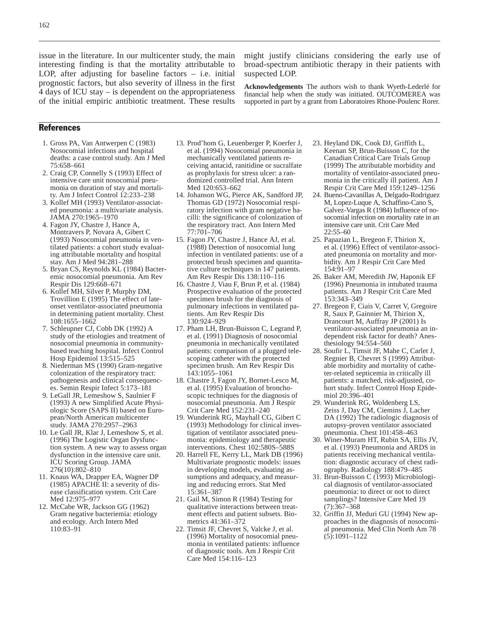issue in the literature. In our multicenter study, the main interesting finding is that the mortality attributable to LOP, after adjusting for baseline factors – i.e. initial prognostic factors, but also severity of illness in the first 4 days of ICU stay – is dependent on the appropriateness of the initial empiric antibiotic treatment. These results might justify clinicians considering the early use of broad-spectrum antibiotic therapy in their patients with suspected LOP.

**Acknowledgements** The authors wish to thank Wyeth-Lederlé for financial help when the study was initiated. OUTCOMEREA was supported in part by a grant from Laboratoires Rhone-Poulenc Rorer.

# References

- 1. Gross PA, Van Antwerpen C (1983) Nosocomial infections and hospital deaths: a case control study. Am J Med 75:658–661
- 2. Craig CP, Connelly S (1993) Effect of intensive care unit nosocomial pneumonia on duration of stay and mortality. Am J Infect Control 12:233–238
- 3. Kollef MH (1993) Ventilator-associated pneumonia: a multivariate analysis. JAMA 270:1965–1970
- 4. Fagon JY, Chastre J, Hance A, Montravers P, Novara A, Gibert C (1993) Nosocomial pneumonia in ventilated patients: a cohort study evaluating attributable mortality and hospital stay. Am J Med 94:281–288
- 5. Bryan CS, Reynolds KL (1984) Bacteremic nosocomial pneumonia. Am Rev Respir Dis 129:668–671
- 6. Kollef MH, Silver P, Murphy DM, Trovillion E (1995) The effect of lateonset ventilator-associated pneumonia in determining patient mortality. Chest 108:1655–1662
- 7. Schleupner CJ, Cobb DK (1992) A study of the etiologies and treatment of nosocomial pneumonia in communitybased teaching hospital. Infect Control Hosp Epidemiol 13:515–525
- 8. Niederman MS (1990) Gram-negative colonization of the respiratory tract: pathogenesis and clinical consequences. Semin Respir Infect 5:173–181
- 9. LeGall JR, Lemeshow S, Saulnier F (1993) A new Simplified Acute Physiologic Score (SAPS II) based on European/North American multicenter study. JAMA 270:2957–2963
- 10. Le Gall JR, Klar J, Lemeshow S, et al. (1996) The Logistic Organ Dysfunction system. A new way to assess organ dysfunction in the intensive care unit. ICU Scoring Group. JAMA 276(10):802–810
- 11. Knaus WA, Drapper EA, Wagner DP (1985) APACHE II: a severity of disease classification system. Crit Care Med 12:975–977
- 12. McCabe WR, Jackson GG (1962) Gram negative bacteriemia: etiology and ecology. Arch Intern Med 110:83–91
- 13. Prod'hom G, Leuenberger P, Koerfer J, et al. (1994) Nosocomial pneumonia in mechanically ventilated patients receiving antacid, ranitidine or sucralfate as prophylaxis for stress ulcer: a randomized controlled trial. Ann Intern Med 120:653–662
- 14. Johanson WG, Pierce AK, Sandford JP, Thomas GD (1972) Nosocomial respiratory infection with gram negative bacilli: the significance of colonization of the respiratory tract. Ann Intern Med 77:701–706
- 15. Fagon JY, Chastre J, Hance AJ, et al. (1988) Detection of nosocomial lung infection in ventilated patients: use of a protected brush specimen and quantitative culture techniques in 147 patients. Am Rev Respir Dis 138:110–116
- 16. Chastre J, Viau F, Brun P, et al. (1984) Prospective evaluation of the protected specimen brush for the diagnosis of pulmonary infections in ventilated patients. Am Rev Respir Dis 130:924–929
- 17. Pham LH, Brun-Buisson C, Legrand P, et al. (1991) Diagnosis of nosocomial pneumonia in mechanically ventilated patients: comparison of a plugged telescoping catheter with the protected specimen brush. Am Rev Respir Dis 143:1055–1061
- 18. Chastre J, Fagon JY, Bornet-Lesco M, et al. (1995) Evaluation of bronchoscopic techniques for the diagnosis of nosocomial pneumonia. Am J Respir Crit Care Med 152:231–240
- 19. Wunderink RG, Mayhall CG, Gibert C (1993) Methodology for clinical investigation of ventilator associated pneumonia: epidemiology and therapeutic interventions. Chest 102:580S–588S
- 20. Harrell FE, Kerry LL, Mark DB (1996) Multivariate prognostic models: issues in developing models, evaluating assumptions and adequacy, and measuring and reducing errors. Stat Med 15:361–387
- 21. Gail M, Simon R (1984) Testing for qualitative interactions between treatment effects and patient subsets. Biometrics 41:361–372
- 22. Timsit JF, Chevret S, Valcke J, et al. (1996) Mortality of nosocomial pneumonia in ventilated patients: influence of diagnostic tools. Am J Respir Crit Care Med 154:116–123
- 23. Heyland DK, Cook DJ, Griffith L, Keenan SP, Brun-Buisson C, for the Canadian Critical Care Trials Group (1999) The attributable morbidity and mortality of ventilator-associated pneumonia in the critically ill patient. Am J Respir Crit Care Med 159:1249–1256
- 24. Bueno-Cavanillas A, Delgado-Rodriguez M, Lopez-Luque A, Schaffino-Cano S, Galvez-Vargas R (1984) Influence of nosocomial infection on mortality rate in an intensive care unit. Crit Care Med  $22:55-60$
- 25. Papazian L, Bregeon F, Thirion X, et al. (1996) Effect of ventilator-associated pneumonia on mortality and morbidity. Am J Respir Crit Care Med 154:91–97
- 26. Baker AM, Meredith JW, Haponik EF (1996) Pneumonia in intubated trauma patients. Am J Respir Crit Care Med 153:343–349
- 27. Bregeon F, Ciais V, Carret V, Gregoire R, Saux P, Gainnier M, Thirion X, Drancourt M, Auffray JP (2001) Is ventilator-associated pneumonia an independent risk factor for death? Anesthesiology 94:554–560
- 28. Soufir L, Timsit JF, Mahe C, Carlet J, Regnier B, Chevret S (1999) Attributable morbidity and mortality of catheter-related septicemia in critically ill patients: a matched, risk-adjusted, cohort study. Infect Control Hosp Epidemiol 20:396–401
- 29. Wunderink RG, Woldenberg LS, Zeiss J, Day CM, Ciemins J, Lacher DA (1992) The radiologic diagnosis of autopsy-proven ventilator associated pneumonia. Chest 101:458–463
- 30. Winer-Muram HT, Rubin SA, Ellis JV, et al. (1993) Pneumonia and ARDS in patients receiving mechanical ventilation: diagnostic accuracy of chest radiography. Radiology 188:479–485
- 31. Brun-Buisson C (1993) Microbiological diagnosis of ventilator-associated pneumonia: to direct or not to direct samplings? Intensive Care Med 19 (7):367–368
- 32. Griffin JJ, Meduri GU (1994) New approaches in the diagnosis of nosocomial pneumonia. Med Clin North Am 78 (5):1091–1122